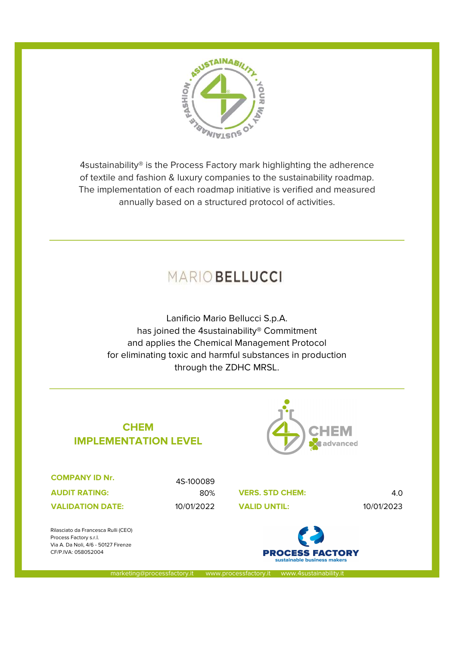

4sustainability® is the Process Factory mark highlighting the adherence of textile and fashion & luxury companies to the sustainability roadmap. The implementation of each roadmap initiative is verified and measured annually based on a structured protocol of activities.

# MARIO BELLUCCI

Lanificio Mario Bellucci S.p.A. has joined the 4sustainability® Commitment and applies the Chemical Management Protocol for eliminating toxic and harmful substances in production through the ZDHC MRSL.

## **CHEM** IMPLEMENTATION LEVEL



COMPANY ID Nr.

AUDIT RATING:

**VALIDATION DATE:** 

4S-100089

80% VERS. STD CHEM: 4.0 10/01/2022 10/01/2023



Rilasciato da Francesca Rulli (CEO) Process Factory s.r.l. Via A. Da Noli, 4/6 - 50127 Firenze CF/P.IVA: 058052004

marketing@processfactory.it www.processfactory.it www.4sustainability.it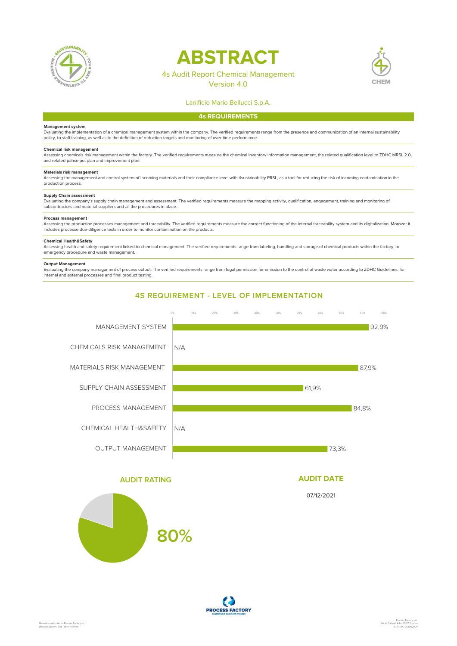

# **ABSTRACT**

## 4s Audit Report Chemical Management

Version 4.0



### Lanificio Mario Bellucci S.p.A.

#### 4s REQUIREMENTS

#### Management system

Evaluating the implementation of a chemical management system within the company. The verified requirements range from the presence and communication of an internal sustainability policy, to staff training, as well as to the definition of reduction targets and monitoring of over-time performance.

**Chemical risk management**<br>Assessing chemicals risk management within the factory. The verified requirements measure the chemical inventory information management, the related qualification level to ZDHC MRSL 2.0, and related pahse put plan and improvement plan.

#### Materials risk management

Assessing the management and control system of incoming materials and their compliance level with 4sustainability PRSL, as a tool for reducing the risk of incoming contamination in the production process.

#### Supply Chain assessment

Evaluating the company's supply chain management and assessment. The verified requirements measure the mapping activity, qualification, engagement, training and monitoring of subcontractors and material suppliers and all the procedures in place.

#### Process management

Assessing the production processes management and traceability. The verified requirements measure the correct functioning of the internal traceability system and its digitalization. Morover it includes processe due-diligence tests in order to monitor contamination on the products.

#### Chemical Health&Safety

Assessing health and safety requirement linked to chemical management. The verified requirements range from labeling, handling and storage of chemical products within the factory, to<br>emergency procedure and waste managemen

#### Output Management

Evaluating the company managament of process output. The verified requirements range from legal permission for emission to the control of waste water according to ZDHC Guidelines. for internal and external processes and final product testing.



### AUDIT RATING



### AUDIT DATE

07/12/2021

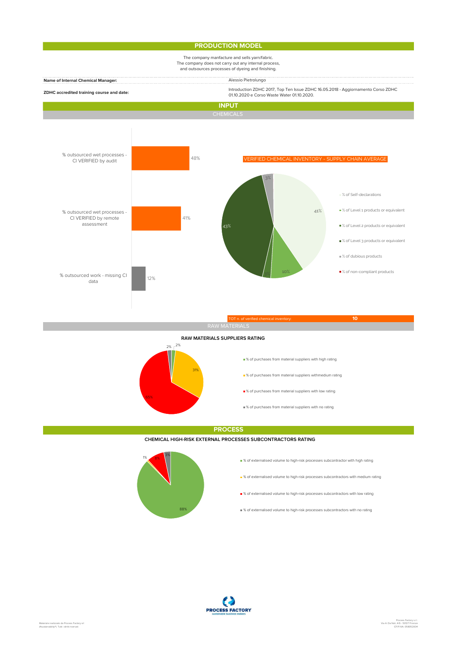#### PRODUCTION MODEL

### The company manfacture and sells yarn/fabric. The company does not carry out any internal process, and outsources processes of dyeing and finishing.

| and outsources processes or dyeling and imisming. |                                                                                                                                |
|---------------------------------------------------|--------------------------------------------------------------------------------------------------------------------------------|
| <b>Name of Internal Chemical Manager:</b>         | Alessio Pietrolungo                                                                                                            |
| ZDHC accredited training course and date:         | Introduction ZDHC 2017, Top Ten Issue ZDHC 16.05.2018 - Aggiornamento Corso ZDHC<br>01.10.2020 e Corso Waste Water 01.10.2020. |
| <b>INPUT</b>                                      |                                                                                                                                |
| CHEMICALS                                         |                                                                                                                                |



## 2% **31% методикалык кызмативдик кызмативдик кызмативдик кызмативдик кызмативдик кызмативдик кызмативдик кызмативди** 65% and the contract of the contract of the contract of the contract of the contract of the contract of the contract of the contract of the contract of the contract of the contract of the contract of the contract of the co  $2\%$   $\int$   $^{2\%}$ RAW MATERIALS SUPPLIERS RATING

- % of purchases from material suppliers with high rating
- % of purchases from material suppliers withmedium rating
- $\blacksquare$  % of purchases from material suppliers with low rating
- $\equiv$  % of purchases from material suppliers with no rating

#### **PROCESS**

#### CHEMICAL HIGH-RISK EXTERNAL PROCESSES SUBCONTRACTORS RATING



- % of externalised volume to high-risk processes subcontractor with high rating
- $\bullet$  % of externalised volume to high-risk processes subcontractors with medium rating
- % of externalised volume to high-risk processes subcontractors with low rating
- 88% **of externalised volume to high-risk processes subcontractors with no rating**

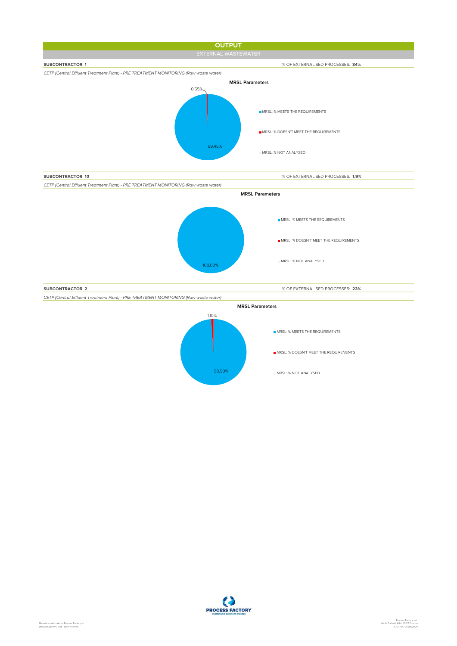